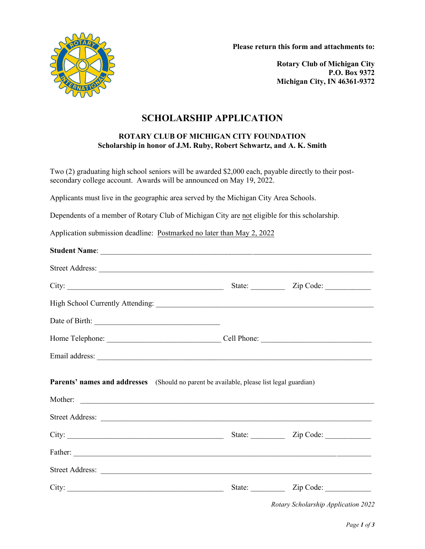

**Please return this form and attachments to:**

**Rotary Club of Michigan City P.O. Box 9372 Michigan City, IN 46361-9372** 

## **SCHOLARSHIP APPLICATION**

#### **ROTARY CLUB OF MICHIGAN CITY FOUNDATION Scholarship in honor of J.M. Ruby, Robert Schwartz, and A. K. Smith**

Two (2) graduating high school seniors will be awarded \$2,000 each, payable directly to their postsecondary college account. Awards will be announced on May 19, 2022.

Applicants must live in the geographic area served by the Michigan City Area Schools.

Dependents of a member of Rotary Club of Michigan City are not eligible for this scholarship.

Application submission deadline: Postmarked no later than May 2, 2022

| Parents' names and addresses (Should no parent be available, please list legal guardian) |                         |
|------------------------------------------------------------------------------------------|-------------------------|
|                                                                                          |                         |
|                                                                                          |                         |
|                                                                                          |                         |
|                                                                                          |                         |
|                                                                                          | State: <u>Zip Code:</u> |

*Rotary Scholarship Application 2022*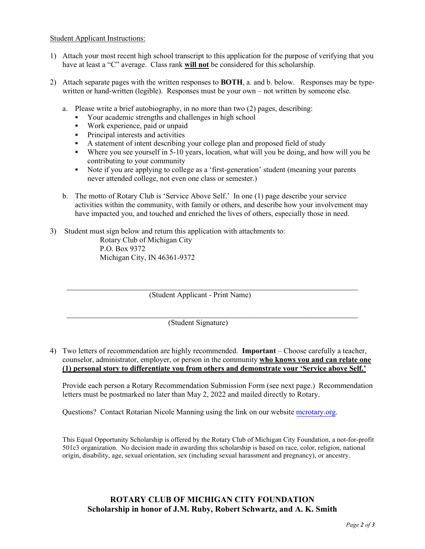### Student Applicant Instructions:

- 1) Attach your most recent high school transcript to this application for the purpose of verifying that you have at least a "C" average. Class rank **will not** be considered for this scholarship.
- 2) Attach separate pages with the written responses to **BOTH**, a. and b. below. Responses may be typewritten or hand-written (legible). Responses must be your own – not written by someone else.
	- a. Please write a brief autobiography, in no more than two (2) pages, describing:
		- Your academic strengths and challenges in high school
		- Work experience, paid or unpaid
		- **Principal interests and activities**
		- A statement of intent describing your college plan and proposed field of study
		- Where you see yourself in 5-10 years, location, what will you be doing, and how will you be contributing to your community
		- Note if you are applying to college as a 'first-generation' student (meaning your parents never attended college, not even one class or semester.)
	- b. The motto of Rotary Club is 'Service Above Self.' In one (1) page describe your service activities within the community, with family or others, and describe how your involvement may have impacted you, and touched and enriched the lives of others, especially those in need.
- 3) Student must sign below and return this application with attachments to: Rotary Club of Michigan City P.O. Box 9372 Michigan City, IN 46361-9372

 $\mathcal{L} = \frac{1}{2} \sum_{i=1}^{n} \frac{1}{2} \sum_{i=1}^{n} \frac{1}{2} \sum_{i=1}^{n} \frac{1}{2} \sum_{i=1}^{n} \frac{1}{2} \sum_{i=1}^{n} \frac{1}{2} \sum_{i=1}^{n} \frac{1}{2} \sum_{i=1}^{n} \frac{1}{2} \sum_{i=1}^{n} \frac{1}{2} \sum_{i=1}^{n} \frac{1}{2} \sum_{i=1}^{n} \frac{1}{2} \sum_{i=1}^{n} \frac{1}{2} \sum_{i=1}^{n} \frac{1}{2} \sum$ (Student Applicant - Print Name)

(Student Signature)

4) Two letters of recommendation are highly recommended. **Important** – Choose carefully a teacher, counselor, administrator, employer, or person in the community **who knows you and can relate one (1) personal story to differentiate you from others and demonstrate your 'Service above Self.'**

Provide each person a Rotary Recommendation Submission Form (see next page.) Recommendation letters must be postmarked no later than May 2, 2022 and mailed directly to Rotary.

Questions? Contact Rotarian Nicole Manning using the link on our website [mcrotary.org.](http://mcrotary.org/)

This Equal Opportunity Scholarship is offered by the Rotary Club of Michigan City Foundation, a not-for-profit 501c3 organization. No decision made in awarding this scholarship is based on race, color, religion, national origin, disability, age, sexual orientation, sex (including sexual harassment and pregnancy), or ancestry.

### **ROTARY CLUB OF MICHIGAN CITY FOUNDATION Scholarship in honor of J.M. Ruby, Robert Schwartz, and A. K. Smith**